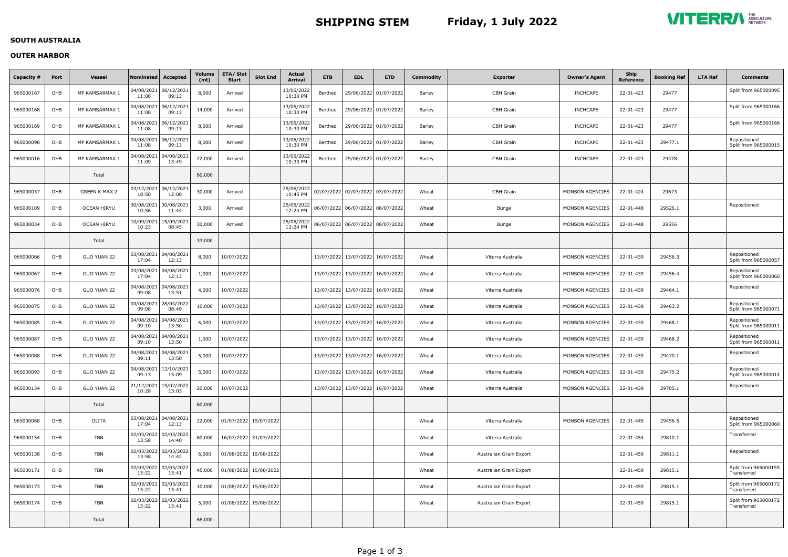# **SHIPPING STEM Friday, 1 July 2022**



## **SOUTH AUSTRALIA**

## **OUTER HARBOR**

| Capacity # | Port | <b>Vessel</b>        | <b>Nominated</b>    | Accepted            | Volume<br>(mt) | <b>ETA/Slot</b><br>Start | <b>Slot End</b>       | Actual<br><b>Arrival</b> | <b>ETB</b> | <b>EDL</b>                           | <b>ETD</b>            | Commodity | <b>Exporter</b>         | <b>Owner's Agent</b>   | <b>Ship</b><br><b>Reference</b> | <b>Booking Ref</b> | <b>LTA Ref</b> | Comments                             |
|------------|------|----------------------|---------------------|---------------------|----------------|--------------------------|-----------------------|--------------------------|------------|--------------------------------------|-----------------------|-----------|-------------------------|------------------------|---------------------------------|--------------------|----------------|--------------------------------------|
| 965000167  | OHB  | MP KAMSARMAX 1       | 04/08/2021<br>11:08 | 06/12/2021<br>09:13 | 8,000          | Arrived                  |                       | 13/06/2022<br>10:30 PM   | Berthed    |                                      | 29/06/2022 01/07/2022 | Barley    | <b>CBH Grain</b>        | <b>INCHCAPE</b>        | 22-01-423                       | 29477              |                | Split from 965000095                 |
| 965000168  | OHB  | MP KAMSARMAX 1       | 04/08/2021<br>11:08 | 06/12/2021<br>09:13 | 14,000         | Arrived                  |                       | 13/06/2022<br>10:30 PM   | Berthed    |                                      | 29/06/2022 01/07/2022 | Barley    | <b>CBH Grain</b>        | <b>INCHCAPE</b>        | 22-01-423                       | 29477              |                | Split from 965000166                 |
| 965000169  | OHB  | MP KAMSARMAX 1       | 04/08/2021<br>11:08 | 06/12/2021<br>09:13 | 8,000          | Arrived                  |                       | 13/06/2022<br>10:30 PM   | Berthed    |                                      | 29/06/2022 01/07/2022 | Barley    | <b>CBH Grain</b>        | <b>INCHCAPE</b>        | 22-01-423                       | 29477              |                | Split from 965000166                 |
| 965000098  | OHB  | MP KAMSARMAX 1       | 04/08/2021<br>11:08 | 06/12/2021<br>09:13 | 8,000          | Arrived                  |                       | 13/06/2022<br>10:30 PM   | Berthed    | 29/06/2022 01/07/2022                |                       | Barley    | <b>CBH Grain</b>        | <b>INCHCAPE</b>        | 22-01-423                       | 29477.1            |                | Repositioned<br>Split from 965000015 |
| 965000016  | OHB  | MP KAMSARMAX 1       | 04/08/2021<br>11:09 | 04/08/202<br>13:49  | 22,000         | Arrived                  |                       | 13/06/2022<br>10:30 PM   | Berthed    | 29/06/2022 01/07/2022                |                       | Barley    | <b>CBH Grain</b>        | <b>INCHCAPE</b>        | 22-01-423                       | 29478              |                |                                      |
|            |      | Total                |                     |                     | 60,000         |                          |                       |                          |            |                                      |                       |           |                         |                        |                                 |                    |                |                                      |
| 965000037  | OHB  | <b>GREEN K MAX 2</b> | 03/12/2021<br>18:50 | 06/12/2021<br>12:00 | 30,000         | Arrived                  |                       | 25/06/2022<br>10:45 PM   |            | 02/07/2022 02/07/2022 03/07/2022     |                       | Wheat     | <b>CBH</b> Grain        | <b>MONSON AGENCIES</b> | 22-01-424                       | 29673              |                |                                      |
| 965000109  | OHB  | <b>OCEAN HIRYU</b>   | 30/08/2021<br>10:56 | 30/08/2021<br>11:44 | 3,000          | Arrived                  |                       | 25/06/2022<br>12:24 PM   |            |                                      |                       | Wheat     | <b>Bunge</b>            | <b>MONSON AGENCIES</b> | 22-01-448                       | 29526.1            |                | Repositioned                         |
| 965000034  | OHB  | <b>OCEAN HIRYU</b>   | 10/09/2021<br>10:23 | 15/09/2021<br>08:45 | 30,000         | Arrived                  |                       | 25/06/2022<br>12:24 PM   |            | 06/07/2022 06/07/2022 08/07/2022     |                       | Wheat     | <b>Bunge</b>            | <b>MONSON AGENCIES</b> | 22-01-448                       | 29556              |                |                                      |
|            |      | Total                |                     |                     | 33,000         |                          |                       |                          |            |                                      |                       |           |                         |                        |                                 |                    |                |                                      |
| 965000066  | OHB  | <b>GUO YUAN 22</b>   | 03/08/2021<br>17:04 | 04/08/2021<br>12:13 | 8,000          | 10/07/2022               |                       |                          |            | 13/07/2022 13/07/2022                | 16/07/2022            | Wheat     | Viterra Australia       | <b>MONSON AGENCIES</b> | 22-01-439                       | 29456.3            |                | Repositioned<br>Split from 965000057 |
| 965000067  | OHB  | <b>GUO YUAN 22</b>   | 03/08/2021<br>17:04 | 04/08/2021<br>12:13 | 1,000          | 10/07/2022               |                       |                          |            | 13/07/2022 13/07/2022 16/07/2022     |                       | Wheat     | Viterra Australia       | <b>MONSON AGENCIES</b> | 22-01-439                       | 29456.4            |                | Repositioned<br>Split from 965000060 |
| 965000076  | OHB  | <b>GUO YUAN 22</b>   | 04/08/2021<br>09:08 | 04/08/2021<br>13:51 | 4,000          | 10/07/2022               |                       |                          |            | 13/07/2022 13/07/2022 16/07/2022     |                       | Wheat     | Viterra Australia       | <b>MONSON AGENCIES</b> | 22-01-439                       | 29464.1            |                | Repositioned                         |
| 965000075  | OHB  | <b>GUO YUAN 22</b>   | 04/08/2021<br>09:08 | 28/04/2022<br>08:49 | 10,000         | 10/07/2022               |                       |                          |            | 13/07/2022   13/07/2022   16/07/2022 |                       | Wheat     | Viterra Australia       | <b>MONSON AGENCIES</b> | 22-01-439                       | 29463.2            |                | Repositioned<br>Split from 965000071 |
| 965000085  | OHB  | <b>GUO YUAN 22</b>   | 04/08/2021<br>09:10 | 04/08/2021<br>13:50 | 6,000          | 10/07/2022               |                       |                          |            | 13/07/2022   13/07/2022              | 16/07/2022            | Wheat     | Viterra Australia       | <b>MONSON AGENCIES</b> | 22-01-439                       | 29468.1            |                | Repositioned<br>Split from 965000011 |
| 965000087  | OHB  | <b>GUO YUAN 22</b>   | 04/08/2021<br>09:10 | 04/08/2021<br>13:50 | 1,000          | 10/07/2022               |                       |                          |            | 13/07/2022   13/07/2022   16/07/2022 |                       | Wheat     | Viterra Australia       | <b>MONSON AGENCIES</b> | 22-01-439                       | 29468.2            |                | Repositioned<br>Split from 965000011 |
| 965000088  | OHB  | <b>GUO YUAN 22</b>   | 04/08/2021<br>09:11 | 04/08/2021<br>13:50 | 5,000          | 10/07/2022               |                       |                          |            | 13/07/2022 13/07/2022 16/07/2022     |                       | Wheat     | Viterra Australia       | <b>MONSON AGENCIES</b> | 22-01-439                       | 29470.1            |                | Repositioned                         |
| 965000093  | OHB  | <b>GUO YUAN 22</b>   | 04/08/2021<br>09:13 | 12/10/2021<br>15:09 | 5,000          | 10/07/2022               |                       |                          |            | 13/07/2022 13/07/2022 16/07/2022     |                       | Wheat     | Viterra Australia       | MONSON AGENCIES        | 22-01-439                       | 29475.2            |                | Repositioned<br>Split from 965000014 |
| 965000134  | OHB  | <b>GUO YUAN 22</b>   | 21/12/2021<br>10:28 | 15/02/2022<br>13:03 | 20,000         | 10/07/2022               |                       |                          |            | 13/07/2022 13/07/2022 16/07/2022     |                       | Wheat     | Viterra Australia       | MONSON AGENCIES        | 22-01-439                       | 29705.1            |                | Repositioned                         |
|            |      | Total                |                     |                     | 60,000         |                          |                       |                          |            |                                      |                       |           |                         |                        |                                 |                    |                |                                      |
| 965000068  | OHB  | OLITA                | 03/08/2021<br>17:04 | 04/08/2021<br>12:13 | 22,000         |                          | 01/07/2022 15/07/2022 |                          |            |                                      |                       | Wheat     | Viterra Australia       | MONSON AGENCIES        | 22-01-445                       | 29456.5            |                | Repositioned<br>Split from 965000060 |
| 965000154  | OHB  | <b>TBN</b>           | 02/03/2022<br>13:58 | 02/03/2022<br>14:40 | 60,000         |                          | 16/07/2022 31/07/2022 |                          |            |                                      |                       | Wheat     | Viterra Australia       |                        | 22-01-454                       | 29810.1            |                | Transferred                          |
| 965000138  | OHB  | <b>TBN</b>           | 02/03/2022<br>13:58 | 02/03/2022<br>14:42 | 6,000          |                          | 01/08/2022 15/08/2022 |                          |            |                                      |                       | Wheat     | Australian Grain Export |                        | 22-01-459                       | 29811.1            |                | Repositioned                         |
| 965000171  | OHB  | <b>TBN</b>           | 02/03/2022<br>15:22 | 02/03/2022<br>15:41 | 45,000         |                          | 01/08/2022 15/08/2022 |                          |            |                                      |                       | Wheat     | Australian Grain Export |                        | 22-01-459                       | 29815.1            |                | Split from 965000155<br>Transferred  |
| 965000173  | OHB  | <b>TBN</b>           | 02/03/2022<br>15:22 | 02/03/2022<br>15:41 | 10,000         |                          | 01/08/2022 15/08/2022 |                          |            |                                      |                       | Wheat     | Australian Grain Export |                        | 22-01-459                       | 29815.1            |                | Split from 965000172<br>Transferred  |
| 965000174  | OHB  | TBN                  | 02/03/2022<br>15:22 | 02/03/2022<br>15:41 | 5,000          |                          | 01/08/2022 15/08/2022 |                          |            |                                      |                       | Wheat     | Australian Grain Export |                        | 22-01-459                       | 29815.1            |                | Split from 965000172<br>Transferred  |
|            |      | Total                |                     |                     | 66,000         |                          |                       |                          |            |                                      |                       |           |                         |                        |                                 |                    |                |                                      |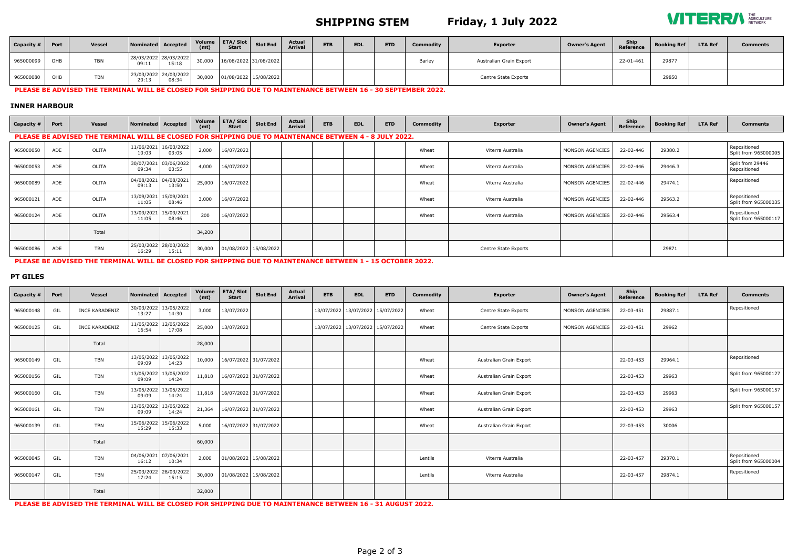# **SHIPPING STEM Friday, 1 July 2022**



| $\overline{\phantom{a}}$ Capacity # | Port | <b>Vessel</b> | Nominated Accepted             |                                | (mt)   | Volume $ETA/Slot$ Slot End<br>Start |                              | <b>Actual</b><br><b>Arrival</b> | <b>ETB</b> | <b>EDL</b> | <b>ETD</b> | Commodity | <b>Exporter</b>         | <b>Owner's Agent</b> | <b>Ship</b><br>Reference | <b>Booking Ref</b> | <b>LTA Ref</b> | <b>Comments</b> |
|-------------------------------------|------|---------------|--------------------------------|--------------------------------|--------|-------------------------------------|------------------------------|---------------------------------|------------|------------|------------|-----------|-------------------------|----------------------|--------------------------|--------------------|----------------|-----------------|
| 965000099                           | OHB  | <b>TBN</b>    | 28/03/2022 28/03/2022<br>09:11 | 15:18                          |        |                                     | 30,000 16/08/2022 31/08/2022 |                                 |            |            |            | Barley    | Australian Grain Export |                      | 22-01-461                | 29877              |                |                 |
| 965000080                           | OHB  | <b>TBN</b>    | 20:13                          | 23/03/2022 24/03/2022<br>08:34 | 30,000 |                                     | 01/08/2022 15/08/2022        |                                 |            |            |            |           | Centre State Exports    |                      |                          | 29850              |                |                 |

#### PLEASE BE ADVISED THE TERMINAL WILL BE CLOSED FOR SHIPPING DUE TO MAINTENANCE BETWEEN 16 - 30 SEPTEMBER 2022.

### **INNER HARBOUR**

| Capacity # | Port | <b>Vessel</b>                                                                                          | Nominated Accepted  |                                | Volume<br>(mt) | <b>ETA/Slot</b><br><b>Start</b> | <b>Slot End</b>       | <b>Actual</b><br><b>Arrival</b> | <b>ETB</b> | <b>EDL</b> | <b>ETD</b> | Commodity | <b>Exporter</b>      | <b>Owner's Agent</b>   | Ship<br>Reference | <b>Booking Ref</b> | <b>LTA Ref</b> | <b>Comments</b>                      |
|------------|------|--------------------------------------------------------------------------------------------------------|---------------------|--------------------------------|----------------|---------------------------------|-----------------------|---------------------------------|------------|------------|------------|-----------|----------------------|------------------------|-------------------|--------------------|----------------|--------------------------------------|
|            |      | PLEASE BE ADVISED THE TERMINAL WILL BE CLOSED FOR SHIPPING DUE TO MAINTENANCE BETWEEN 4 - 8 JULY 2022. |                     |                                |                |                                 |                       |                                 |            |            |            |           |                      |                        |                   |                    |                |                                      |
| 965000050  | ADE  | OLITA                                                                                                  | 10:03               | 11/06/2021 16/03/2022<br>03:05 | 2,000          | 16/07/2022                      |                       |                                 |            |            |            | Wheat     | Viterra Australia    | MONSON AGENCIES        | 22-02-446         | 29380.2            |                | Repositioned<br>Split from 965000005 |
| 965000053  | ADE  | OLITA                                                                                                  | 09:34               | 30/07/2021 03/06/2022<br>03:55 | 4,000          | 16/07/2022                      |                       |                                 |            |            |            | Wheat     | Viterra Australia    | <b>MONSON AGENCIES</b> | 22-02-446         | 29446.3            |                | Split from 29446<br>Repositioned     |
| 965000089  | ADE  | OLITA                                                                                                  | 09:13               | 04/08/2021 04/08/2021<br>13:50 | 25,000         | 16/07/2022                      |                       |                                 |            |            |            | Wheat     | Viterra Australia    | MONSON AGENCIES        | 22-02-446         | 29474.1            |                | Repositioned                         |
| 965000121  | ADE  | OLITA                                                                                                  | 13/09/2021<br>11:05 | 15/09/2021<br>08:46            | 3,000          | 16/07/2022                      |                       |                                 |            |            |            | Wheat     | Viterra Australia    | MONSON AGENCIES        | 22-02-446         | 29563.2            |                | Repositioned<br>Split from 965000035 |
| 965000124  | ADE  | OLITA                                                                                                  | 13/09/2021<br>11:05 | 15/09/2021<br>08:46            | 200            | 16/07/2022                      |                       |                                 |            |            |            | Wheat     | Viterra Australia    | MONSON AGENCIES        | 22-02-446         | 29563.4            |                | Repositioned<br>Split from 965000117 |
|            |      | Total                                                                                                  |                     |                                | 34,200         |                                 |                       |                                 |            |            |            |           |                      |                        |                   |                    |                |                                      |
| 965000086  | ADE  | <b>TBN</b>                                                                                             | 16:29               | 25/03/2022 28/03/2022<br>15:11 | 30,000         |                                 | 01/08/2022 15/08/2022 |                                 |            |            |            |           | Centre State Exports |                        |                   | 29871              |                |                                      |

### PLEASE BE ADVISED THE TERMINAL WILL BE CLOSED FOR SHIPPING DUE TO MAINTENANCE BETWEEN 1 - 15 OCTOBER 2022.

### **PT GILES**

| Capacity # | Port | <b>Vessel</b>         | Nominated Accepted  |                                | Volume<br>(mt) | <b>ETA/Slot</b><br><b>Start</b> | <b>Slot End</b>       | <b>Actual</b><br><b>Arrival</b> | <b>ETB</b> | <b>EDL</b>                           | <b>ETD</b> | Commodity | <b>Exporter</b>         | <b>Owner's Agent</b> | Ship<br>Reference | <b>Booking Ref</b> | <b>LTA Ref</b> | <b>Comments</b>                      |
|------------|------|-----------------------|---------------------|--------------------------------|----------------|---------------------------------|-----------------------|---------------------------------|------------|--------------------------------------|------------|-----------|-------------------------|----------------------|-------------------|--------------------|----------------|--------------------------------------|
| 965000148  | GIL  | <b>INCE KARADENIZ</b> | 30/03/2022<br>13:27 | 13/05/2022<br>14:30            | 3,000          | 13/07/2022                      |                       |                                 |            | 13/07/2022 13/07/2022 15/07/2022     |            | Wheat     | Centre State Exports    | MONSON AGENCIES      | 22-03-451         | 29887.1            |                | Repositioned                         |
| 965000125  | GIL  | <b>INCE KARADENIZ</b> | 11/05/2022<br>16:54 | 12/05/2022<br>17:08            | 25,000         | 13/07/2022                      |                       |                                 |            | 13/07/2022   13/07/2022   15/07/2022 |            | Wheat     | Centre State Exports    | MONSON AGENCIES      | 22-03-451         | 29962              |                |                                      |
|            |      | Total                 |                     |                                | 28,000         |                                 |                       |                                 |            |                                      |            |           |                         |                      |                   |                    |                |                                      |
| 965000149  | GIL  | <b>TBN</b>            | 13/05/2022<br>09:09 | 13/05/2022<br>14:23            | 10,000         |                                 | 16/07/2022 31/07/2022 |                                 |            |                                      |            | Wheat     | Australian Grain Export |                      | 22-03-453         | 29964.1            |                | Repositioned                         |
| 965000156  | GIL  | <b>TBN</b>            | 13/05/2022<br>09:09 | 13/05/2022<br>14:24            | 11,818         |                                 | 16/07/2022 31/07/2022 |                                 |            |                                      |            | Wheat     | Australian Grain Export |                      | 22-03-453         | 29963              |                | Split from 965000127                 |
| 965000160  | GIL  | <b>TBN</b>            | 13/05/2022<br>09:09 | 13/05/2022<br>14:24            | 11,818         |                                 | 16/07/2022 31/07/2022 |                                 |            |                                      |            | Wheat     | Australian Grain Export |                      | 22-03-453         | 29963              |                | Split from 965000157                 |
| 965000161  | GIL  | <b>TBN</b>            | 13/05/2022<br>09:09 | 13/05/2022<br>14:24            | 21,364         |                                 | 16/07/2022 31/07/2022 |                                 |            |                                      |            | Wheat     | Australian Grain Export |                      | 22-03-453         | 29963              |                | Split from 965000157                 |
| 965000139  | GIL  | <b>TBN</b>            | 15/06/2022<br>15:29 | 15/06/2022<br>15:33            | 5,000          |                                 | 16/07/2022 31/07/2022 |                                 |            |                                      |            | Wheat     | Australian Grain Export |                      | 22-03-453         | 30006              |                |                                      |
|            |      | Total                 |                     |                                | 60,000         |                                 |                       |                                 |            |                                      |            |           |                         |                      |                   |                    |                |                                      |
| 965000045  | GIL  | <b>TBN</b>            | 16:12               | 04/06/2021 07/06/2021<br>10:34 | 2,000          |                                 | 01/08/2022 15/08/2022 |                                 |            |                                      |            | Lentils   | Viterra Australia       |                      | 22-03-457         | 29370.1            |                | Repositioned<br>Split from 965000004 |
| 965000147  | GIL  | <b>TBN</b>            | 17:24               | 25/03/2022 28/03/2022<br>15:15 | 30,000         |                                 | 01/08/2022 15/08/2022 |                                 |            |                                      |            | Lentils   | Viterra Australia       |                      | 22-03-457         | 29874.1            |                | Repositioned                         |
|            |      | Total                 |                     |                                | 32,000         |                                 |                       |                                 |            |                                      |            |           |                         |                      |                   |                    |                |                                      |

PLEASE BE ADVISED THE TERMINAL WILL BE CLOSED FOR SHIPPING DUE TO MAINTENANCE BETWEEN 16 - 31 AUGUST 2022.